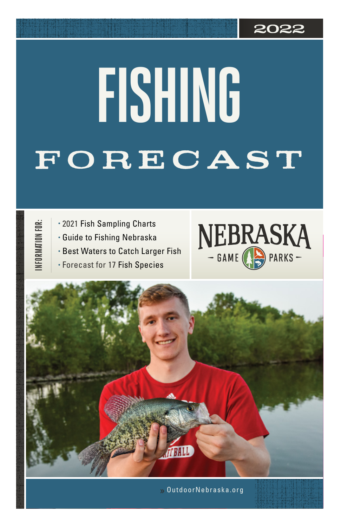### **2022**

# **FORECAST FISHING**

INFORMATION FOR: **INFORMATION FOR:**

- 2021 Fish Sampling Charts
- Guide to Fishing Nebraska
- Best Waters to Catch Larger Fish
- Forecast for 17 Fish Species





OutdoorNebraska.org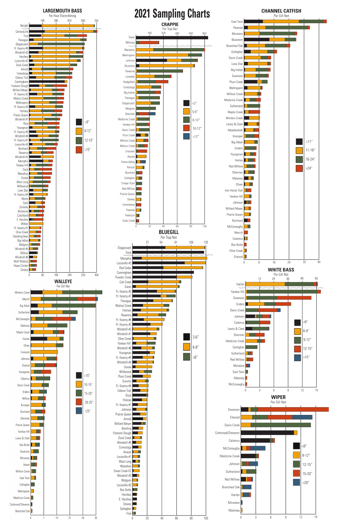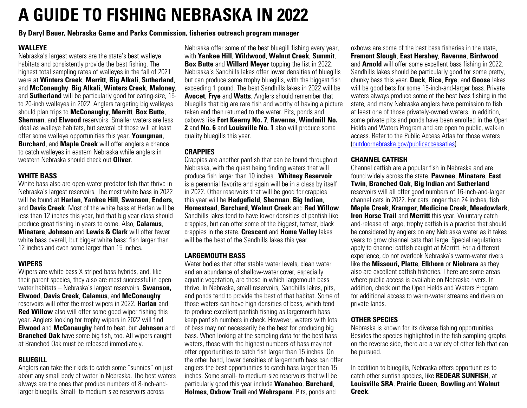## **A GUIDE TO FISHING NEBRASKA IN 2022**

**By Daryl Bauer, Nebraska Game and Parks Commission, fisheries outreach program manager**

#### **WALLEYE**

Nebraska's largest waters are the state's best walleye habitats and consistently provide the best fishing. The highest total sampling rates of walleyes in the fall of 2021 were at **Winters Creek**, **Merritt**, **Big Alkali**, **Sutherland**, and **McConaughy**. **Big Alkali**, **Winters Creek**, **Maloney**, and **Sutherland** will be particularly good for eating-size, 15 to 20-inch walleyes in 2022. Anglers targeting big walleyes should plan trips to **McConaughy**, **Merritt**, **Box Butte**, **Sherman**, and **Elwood** reservoirs. Smaller waters are less ideal as walleye habitats, but several of those will at least offer some walleye opportunities this year. **Youngman**, **Burchard**, and **Maple Creek** will offer anglers a chance to catch walleyes in eastern Nebraska while anglers in western Nebraska should check out **Oliver**.

#### **WHITE BASS**

White bass also are open-water predator fish that thrive in Nebraska's largest reservoirs. The most white bass in 2022 will be found at **Harlan**, **Yankee Hill**, **Swanson**, **Enders**, and **Davis Creek**. Most of the white bass at Harlan will be less than 12 inches this year, but that big year-class should produce great fishing in years to come. Also, **Calamus**, **Minatare**, **Johnson** and **Lewis & Clark** will offer fewer white bass overall, but bigger white bass: fish larger than 12 inches and even some larger than 15 inches.

#### **WIPERS**

Wipers are white bass X striped bass hybrids, and, like their parent species, they also are most successful in openwater habitats – Nebraska's largest reservoirs. **Swanson, Elwood**, **Davis Creek**, **Calamus**, and **McConaughy** reservoirs will offer the most wipers in 2022. **Harlan** and **Red Willow** also will offer some good wiper fishing this year. Anglers looking for trophy wipers in 2022 will find **Elwood** and **McConaughy** hard to beat, but **Johnson** and **Branched Oak** have some big fish, too. All wipers caught at Branched Oak must be released immediately.

#### **BLUEGILL**

Anglers can take their kids to catch some "sunnies" on just about any small body of water in Nebraska. The best waters always are the ones that produce numbers of 8-inch-andlarger bluegills. Small- to medium-size reservoirs across

Nebraska offer some of the best bluegill fishing every year, with **Yankee Hill**, **Wildwood**, **Walnut Creek**, **Summit**, **Box Butte** and **Willard Meyer** topping the list in 2022. Nebraska's Sandhills lakes offer lower densities of bluegills but can produce some trophy bluegills, with the biggest fish exceeding 1 pound. The best Sandhills lakes in 2022 will be **Avocet**, **Frye** and **Watts**. Anglers should remember that bluegills that big are rare fish and worthy of having a picture taken and then returned to the water. Pits, ponds and oxbows like **Fort Kearny No. 7**, **Ravenna**, **Windmill No. 2** and **No. 6** and **Louisville No. 1** also will produce some quality bluegills this year.

#### **CRAPPIES**

Crappies are another panfish that can be found throughout Nebraska, with the quest being finding waters that will produce fish larger than 10 inches. **Whitney Reservoir**  is a perennial favorite and again will be in a class by itself in 2022. Other reservoirs that will be good for crappies this year will be **Hedgefield**, **Sherman**, **Big Indian**, **Homestead**, **Burchard**, **Walnut Creek** and **Red Willow**. Sandhills lakes tend to have lower densities of panfish like crappies, but can offer some of the biggest, fattest, black crappies in the state. **Crescent** and **Home Valley** lakes will be the best of the Sandhills lakes this year.

#### **LARGEMOUTH BASS**

Water bodies that offer stable water levels, clean water and an abundance of shallow-water cover, especially aquatic vegetation, are those in which largemouth bass thrive. In Nebraska, small reservoirs, Sandhills lakes, pits, and ponds tend to provide the best of that habitat. Some of those waters can have high densities of bass, which tend to produce excellent panfish fishing as largemouth bass keep panfish numbers in check. However, waters with lots of bass may not necessarily be the best for producing big bass. When looking at the sampling data for the best bass waters, those with the highest numbers of bass may not offer opportunities to catch fish larger than 15 inches. On the other hand, lower densities of largemouth bass can offer anglers the best opportunities to catch bass larger than 15 inches. Some small- to medium-size reservoirs that will be particularly good this year include **Wanahoo**, **Burchard**, **Holmes**, **Oxbow Trail** and **Wehrspann**. Pits, ponds and

oxbows are some of the best bass fisheries in the state, **Fremont Slough**, **East Hershey**, **Ravenna**, **Birdwood** and **Arnold** will offer some excellent bass fishing in 2022. Sandhills lakes should be particularly good for some pretty, chunky bass this year. **Duck**, **Rice**, **Frye**, and **Goose** lakes will be good bets for some 15-inch-and-larger bass. Private waters always produce some of the best bass fishing in the state, and many Nebraska anglers have permission to fish at least one of those privately-owned waters. In addition, some private pits and ponds have been enrolled in the Open Fields and Waters Program and are open to public, walk-in access. Refer to the Public Access Atlas for those waters ([outdoornebraska.gov/publicaccessatlas](http://outdoornebraska.gov/publicaccessatlas)).

#### **CHANNEL CATFISH**

Channel catfish are a popular fish in Nebraska and are found widely across the state. **Pawnee**, **Minatare**, **East Twin**, **Branched Oak**, **Big Indian** and **Sutherland**  reservoirs will all offer good numbers of 16-inch-and-larger channel cats in 2022. For cats longer than 24 inches, fish **Maple Creek**, **Kramper**, **Medicine Creek**, **Meadowlark**, **Iron Horse Trail and Merritt** this year. Voluntary catchand-release of large, trophy catfish is a practice that should be considered by anglers on any Nebraska water as it takes years to grow channel cats that large. Special regulations apply to channel catfish caught at Merritt. For a different experience, do not overlook Nebraska's warm-water rivers like the **Missouri, Platte**, **Elkhorn** or **Niobrara** as they also are excellent catfish fisheries. There are some areas where public access is available on Nebraska rivers. In addition, check out the Open Fields and Waters Program for additional access to warm-water streams and rivers on private lands.

#### **OTHER SPECIES**

Nebraska is known for its diverse fishing opportunities. Besides the species highlighted in the fish-sampling graphs on the reverse side, there are a variety of other fish that can be pursued.

In addition to bluegills, Nebraska offers opportunities to catch other sunfish species, like **REDEAR SUNFISH**, at **Louisville SRA**, **Prairie Queen**, **Bowling** and **Walnut Creek**.